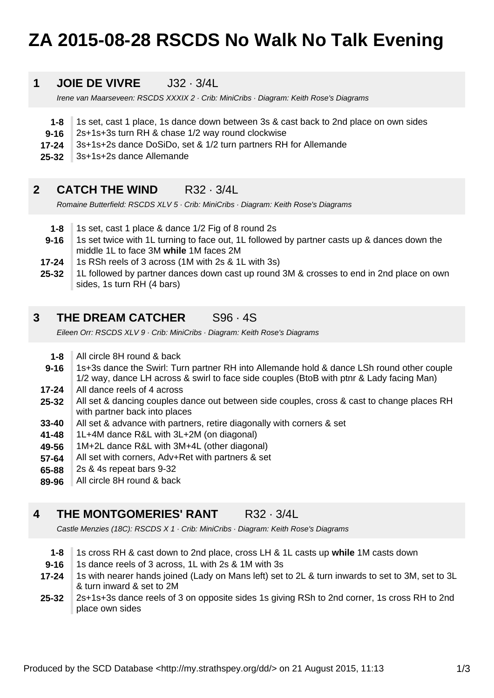# **ZA 2015-08-28 RSCDS No Walk No Talk Evening**

#### **1 JOIE DE VIVRE J32 · 3/4L**

Irene van Maarseveen: RSCDS XXXIX 2 · Crib: MiniCribs · Diagram: Keith Rose's Diagrams

- **1-8** 1s set, cast 1 place, 1s dance down between 3s & cast back to 2nd place on own sides
- **9-16** 2s+1s+3s turn RH & chase 1/2 way round clockwise
- **17-24** 3s+1s+2s dance DoSiDo, set & 1/2 turn partners RH for Allemande
- **25-32** 3s+1s+2s dance Allemande

#### **2 CATCH THE WIND R32 · 3/4L**

Romaine Butterfield: RSCDS XLV 5 · Crib: MiniCribs · Diagram: Keith Rose's Diagrams

- **1-8** 1s set, cast 1 place & dance 1/2 Fig of 8 round 2s
- **9-16** 1s set twice with 1L turning to face out, 1L followed by partner casts up & dances down the middle 1L to face 3M **while** 1M faces 2M
- **17-24** 1s RSh reels of 3 across (1M with 2s & 1L with 3s)
- **25-32** 1L followed by partner dances down cast up round 3M & crosses to end in 2nd place on own sides, 1s turn RH (4 bars)

#### **3 THE DREAM CATCHER** S96 · 4S

Eileen Orr: RSCDS XLV 9 · Crib: MiniCribs · Diagram: Keith Rose's Diagrams

- **1-8** All circle 8H round & back
- **9-16** 1s+3s dance the Swirl: Turn partner RH into Allemande hold & dance LSh round other couple 1/2 way, dance LH across & swirl to face side couples (BtoB with ptnr & Lady facing Man)
- **17-24** All dance reels of 4 across
- **25-32** All set & dancing couples dance out between side couples, cross & cast to change places RH with partner back into places
- **33-40** All set & advance with partners, retire diagonally with corners & set
- **41-48** 1L+4M dance R&L with 3L+2M (on diagonal)
- **49-56** 1M+2L dance R&L with 3M+4L (other diagonal)
- **57-64** All set with corners, Adv+Ret with partners & set
- **65-88** 2s & 4s repeat bars 9-32
- **89-96** All circle 8H round & back

#### **4 THE MONTGOMERIES' RANT R32 · 3/4L**

Castle Menzies (18C): RSCDS X 1 · Crib: MiniCribs · Diagram: Keith Rose's Diagrams

- **1-8** 1s cross RH & cast down to 2nd place, cross LH & 1L casts up **while** 1M casts down
- **9-16** 1s dance reels of 3 across, 1L with 2s & 1M with 3s
- **17-24** 1s with nearer hands joined (Lady on Mans left) set to 2L & turn inwards to set to 3M, set to 3L & turn inward & set to 2M
- **25-32** 2s+1s+3s dance reels of 3 on opposite sides 1s giving RSh to 2nd corner, 1s cross RH to 2nd place own sides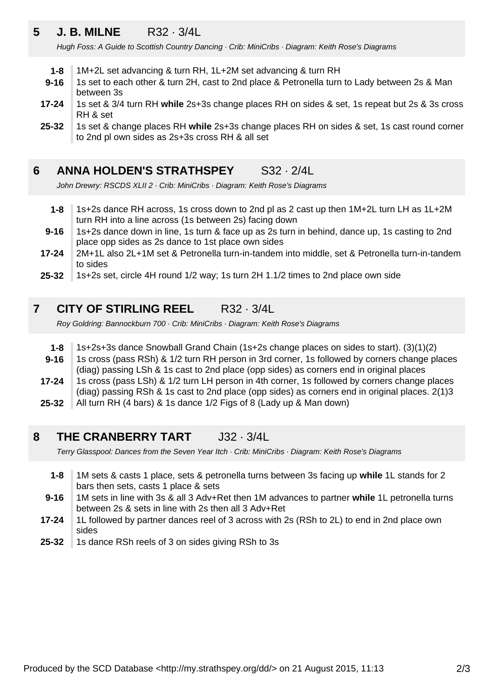### **5 J. B. MILNE** R32 · 3/4L

Hugh Foss: A Guide to Scottish Country Dancing · Crib: MiniCribs · Diagram: Keith Rose's Diagrams

- **1-8** 1M+2L set advancing & turn RH, 1L+2M set advancing & turn RH
- **9-16** 1s set to each other & turn 2H, cast to 2nd place & Petronella turn to Lady between 2s & Man between 3s
- **17-24** 1s set & 3/4 turn RH **while** 2s+3s change places RH on sides & set, 1s repeat but 2s & 3s cross RH & set
- **25-32** 1s set & change places RH **while** 2s+3s change places RH on sides & set, 1s cast round corner to 2nd pl own sides as 2s+3s cross RH & all set

#### **6 ANNA HOLDEN'S STRATHSPEY** S32 · 2/4L

John Drewry: RSCDS XLII 2 · Crib: MiniCribs · Diagram: Keith Rose's Diagrams

- **1-8** 1s+2s dance RH across, 1s cross down to 2nd pl as 2 cast up then 1M+2L turn LH as 1L+2M turn RH into a line across (1s between 2s) facing down
- **9-16** 1s+2s dance down in line, 1s turn & face up as 2s turn in behind, dance up, 1s casting to 2nd place opp sides as 2s dance to 1st place own sides
- **17-24** 2M+1L also 2L+1M set & Petronella turn-in-tandem into middle, set & Petronella turn-in-tandem to sides
- **25-32** 1s+2s set, circle 4H round 1/2 way; 1s turn 2H 1.1/2 times to 2nd place own side

#### **7 CITY OF STIRLING REEL** R32 · 3/4L

Roy Goldring: Bannockburn 700 · Crib: MiniCribs · Diagram: Keith Rose's Diagrams

- **1-8** 1s+2s+3s dance Snowball Grand Chain (1s+2s change places on sides to start). (3)(1)(2)
- **9-16** 1s cross (pass RSh) & 1/2 turn RH person in 3rd corner, 1s followed by corners change places (diag) passing LSh & 1s cast to 2nd place (opp sides) as corners end in original places
- **17-24** 1s cross (pass LSh) & 1/2 turn LH person in 4th corner, 1s followed by corners change places (diag) passing RSh & 1s cast to 2nd place (opp sides) as corners end in original places. 2(1)3
- **25-32** All turn RH (4 bars) & 1s dance 1/2 Figs of 8 (Lady up & Man down)

#### **8 THE CRANBERRY TART** J32 · 3/4L

Terry Glasspool: Dances from the Seven Year Itch · Crib: MiniCribs · Diagram: Keith Rose's Diagrams

- **1-8** 1M sets & casts 1 place, sets & petronella turns between 3s facing up **while** 1L stands for 2 bars then sets, casts 1 place & sets
- **9-16** 1M sets in line with 3s & all 3 Adv+Ret then 1M advances to partner **while** 1L petronella turns between 2s & sets in line with 2s then all 3 Adv+Ret
- **17-24** 1L followed by partner dances reel of 3 across with 2s (RSh to 2L) to end in 2nd place own sides
- **25-32** 1s dance RSh reels of 3 on sides giving RSh to 3s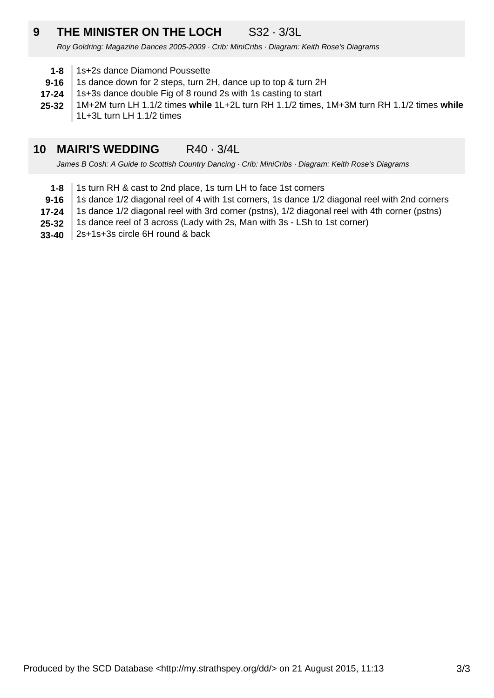### **9 THE MINISTER ON THE LOCH** S32 · 3/3L

Roy Goldring: Magazine Dances 2005-2009 · Crib: MiniCribs · Diagram: Keith Rose's Diagrams

- **1-8** 1s+2s dance Diamond Poussette
- **9-16** 1s dance down for 2 steps, turn 2H, dance up to top & turn 2H
- **17-24** 1s+3s dance double Fig of 8 round 2s with 1s casting to start
- **25-32** 1M+2M turn LH 1.1/2 times **while** 1L+2L turn RH 1.1/2 times, 1M+3M turn RH 1.1/2 times **while** 1L+3L turn LH 1.1/2 times

#### **10 MAIRI'S WEDDING** R40 · 3/4L

James B Cosh: A Guide to Scottish Country Dancing · Crib: MiniCribs · Diagram: Keith Rose's Diagrams

- **1-8** 1s turn RH & cast to 2nd place, 1s turn LH to face 1st corners
- **9-16** 1s dance 1/2 diagonal reel of 4 with 1st corners, 1s dance 1/2 diagonal reel with 2nd corners
- **17-24** 1s dance 1/2 diagonal reel with 3rd corner (pstns), 1/2 diagonal reel with 4th corner (pstns)
- **25-32** 1s dance reel of 3 across (Lady with 2s, Man with 3s - LSh to 1st corner)
- **33-40** 2s+1s+3s circle 6H round & back